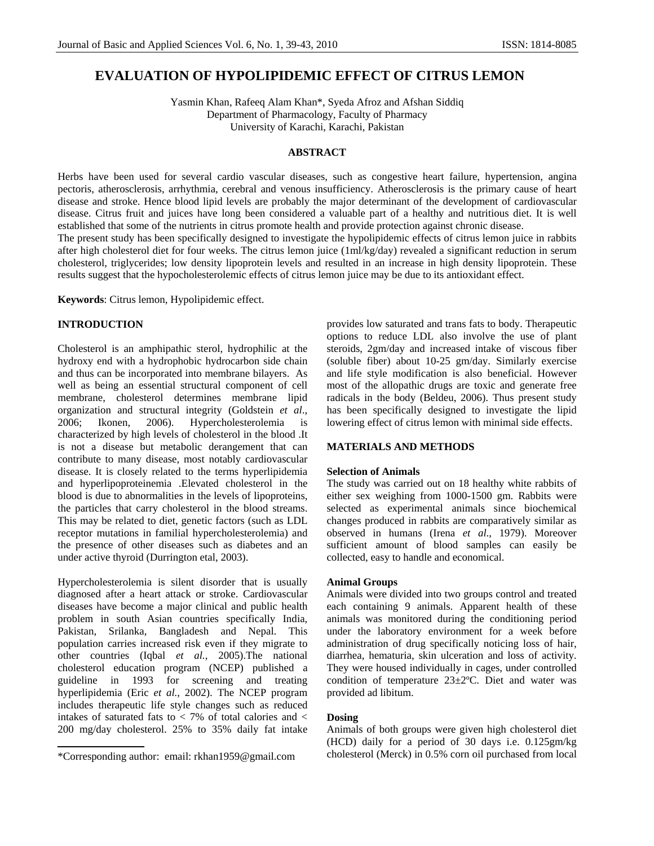# **EVALUATION OF HYPOLIPIDEMIC EFFECT OF CITRUS LEMON**

Yasmin Khan, Rafeeq Alam Khan\*, Syeda Afroz and Afshan Siddiq Department of Pharmacology, Faculty of Pharmacy University of Karachi, Karachi, Pakistan

# **ABSTRACT**

Herbs have been used for several cardio vascular diseases, such as congestive heart failure, hypertension, angina pectoris, atherosclerosis, arrhythmia, cerebral and venous insufficiency. Atherosclerosis is the primary cause of heart disease and stroke. Hence blood lipid levels are probably the major determinant of the development of cardiovascular disease. Citrus fruit and juices have long been considered a valuable part of a healthy and nutritious diet. It is well established that some of the nutrients in citrus promote health and provide protection against chronic disease.

The present study has been specifically designed to investigate the hypolipidemic effects of citrus lemon juice in rabbits after high cholesterol diet for four weeks. The citrus lemon juice (1ml/kg/day) revealed a significant reduction in serum cholesterol, triglycerides; low density lipoprotein levels and resulted in an increase in high density lipoprotein. These results suggest that the hypocholesterolemic effects of citrus lemon juice may be due to its antioxidant effect.

**Keywords**: Citrus lemon, Hypolipidemic effect.

# **INTRODUCTION**

Cholesterol is an amphipathic sterol, hydrophilic at the hydroxy end with a hydrophobic hydrocarbon side chain and thus can be incorporated into membrane bilayers. As well as being an essential structural component of cell membrane, cholesterol determines membrane lipid organization and structural integrity (Goldstein *et al*., 2006; Ikonen, 2006). Hypercholesterolemia is characterized by high levels of cholesterol in the blood .It is not a disease but metabolic derangement that can contribute to many disease, most notably cardiovascular disease. It is closely related to the terms hyperlipidemia and hyperlipoproteinemia .Elevated cholesterol in the blood is due to abnormalities in the levels of lipoproteins, the particles that carry cholesterol in the blood streams. This may be related to diet, genetic factors (such as LDL receptor mutations in familial hypercholesterolemia) and the presence of other diseases such as diabetes and an under active thyroid (Durrington etal, 2003).

Hypercholesterolemia is silent disorder that is usually diagnosed after a heart attack or stroke. Cardiovascular diseases have become a major clinical and public health problem in south Asian countries specifically India, Pakistan, Srilanka, Bangladesh and Nepal. This population carries increased risk even if they migrate to other countries (Iqbal *et al.*, 2005).The national cholesterol education program (NCEP) published a guideline in 1993 for screening and treating hyperlipidemia (Eric *et al.,* 2002). The NCEP program includes therapeutic life style changes such as reduced intakes of saturated fats to < 7% of total calories and < 200 mg/day cholesterol. 25% to 35% daily fat intake

provides low saturated and trans fats to body. Therapeutic options to reduce LDL also involve the use of plant steroids, 2gm/day and increased intake of viscous fiber (soluble fiber) about 10-25 gm/day. Similarly exercise and life style modification is also beneficial. However most of the allopathic drugs are toxic and generate free radicals in the body (Beldeu, 2006). Thus present study has been specifically designed to investigate the lipid lowering effect of citrus lemon with minimal side effects.

# **MATERIALS AND METHODS**

#### **Selection of Animals**

The study was carried out on 18 healthy white rabbits of either sex weighing from 1000-1500 gm. Rabbits were selected as experimental animals since biochemical changes produced in rabbits are comparatively similar as observed in humans (Irena *et al*., 1979). Moreover sufficient amount of blood samples can easily be collected, easy to handle and economical.

# **Animal Groups**

Animals were divided into two groups control and treated each containing 9 animals. Apparent health of these animals was monitored during the conditioning period under the laboratory environment for a week before administration of drug specifically noticing loss of hair, diarrhea, hematuria, skin ulceration and loss of activity. They were housed individually in cages, under controlled condition of temperature 23±2ºC. Diet and water was provided ad libitum.

### **Dosing**

Animals of both groups were given high cholesterol diet (HCD) daily for a period of 30 days i.e. 0.125gm/kg \*Corresponding author: email: rkhan1959@gmail.com cholesterol (Merck) in 0.5% corn oil purchased from local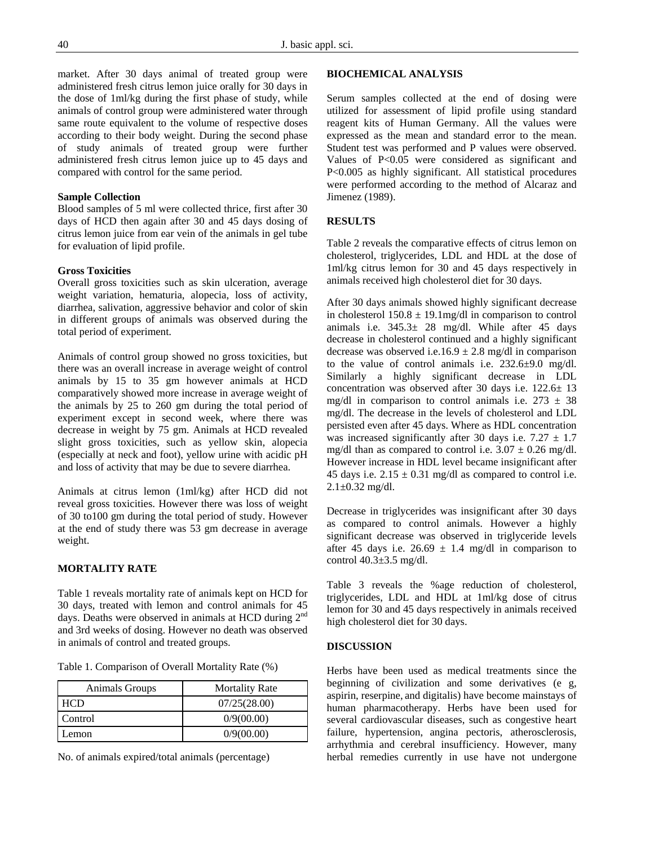market. After 30 days animal of treated group were administered fresh citrus lemon juice orally for 30 days in the dose of 1ml/kg during the first phase of study, while animals of control group were administered water through same route equivalent to the volume of respective doses according to their body weight. During the second phase of study animals of treated group were further administered fresh citrus lemon juice up to 45 days and compared with control for the same period.

# **Sample Collection**

Blood samples of 5 ml were collected thrice, first after 30 days of HCD then again after 30 and 45 days dosing of citrus lemon juice from ear vein of the animals in gel tube for evaluation of lipid profile.

#### **Gross Toxicities**

Overall gross toxicities such as skin ulceration, average weight variation, hematuria, alopecia, loss of activity, diarrhea, salivation, aggressive behavior and color of skin in different groups of animals was observed during the total period of experiment.

Animals of control group showed no gross toxicities, but there was an overall increase in average weight of control animals by 15 to 35 gm however animals at HCD comparatively showed more increase in average weight of the animals by 25 to 260 gm during the total period of experiment except in second week, where there was decrease in weight by 75 gm. Animals at HCD revealed slight gross toxicities, such as yellow skin, alopecia (especially at neck and foot), yellow urine with acidic pH and loss of activity that may be due to severe diarrhea.

Animals at citrus lemon (1ml/kg) after HCD did not reveal gross toxicities. However there was loss of weight of 30 to100 gm during the total period of study. However at the end of study there was 53 gm decrease in average weight.

# **MORTALITY RATE**

Table 1 reveals mortality rate of animals kept on HCD for 30 days, treated with lemon and control animals for 45 days. Deaths were observed in animals at HCD during 2<sup>nd</sup> and 3rd weeks of dosing. However no death was observed in animals of control and treated groups.

| Table 1. Comparison of Overall Mortality Rate (%) |  |
|---------------------------------------------------|--|
|---------------------------------------------------|--|

| <b>Animals Groups</b> | <b>Mortality Rate</b> |
|-----------------------|-----------------------|
| <b>HCD</b>            | 07/25(28.00)          |
| Control               | 0/9(00.00)            |
| Lemon                 | 0/9(00.00)            |
|                       |                       |

No. of animals expired/total animals (percentage)

#### **BIOCHEMICAL ANALYSIS**

Serum samples collected at the end of dosing were utilized for assessment of lipid profile using standard reagent kits of Human Germany. All the values were expressed as the mean and standard error to the mean. Student test was performed and P values were observed. Values of P<0.05 were considered as significant and P<0.005 as highly significant. All statistical procedures were performed according to the method of Alcaraz and Jimenez (1989).

# **RESULTS**

Table 2 reveals the comparative effects of citrus lemon on cholesterol, triglycerides, LDL and HDL at the dose of 1ml/kg citrus lemon for 30 and 45 days respectively in animals received high cholesterol diet for 30 days.

After 30 days animals showed highly significant decrease in cholesterol  $150.8 \pm 19.1$  mg/dl in comparison to control animals i.e. 345.3± 28 mg/dl. While after 45 days decrease in cholesterol continued and a highly significant decrease was observed i.e.16.9  $\pm$  2.8 mg/dl in comparison to the value of control animals i.e.  $232.6 \pm 9.0$  mg/dl. Similarly a highly significant decrease in LDL concentration was observed after 30 days i.e. 122.6± 13 mg/dl in comparison to control animals i.e.  $273 \pm 38$ mg/dl. The decrease in the levels of cholesterol and LDL persisted even after 45 days. Where as HDL concentration was increased significantly after 30 days i.e.  $7.27 \pm 1.7$ mg/dl than as compared to control i.e.  $3.07 \pm 0.26$  mg/dl. However increase in HDL level became insignificant after 45 days i.e.  $2.15 \pm 0.31$  mg/dl as compared to control i.e.  $2.1 \pm 0.32$  mg/dl.

Decrease in triglycerides was insignificant after 30 days as compared to control animals. However a highly significant decrease was observed in triglyceride levels after 45 days i.e.  $26.69 \pm 1.4$  mg/dl in comparison to control  $40.3 \pm 3.5$  mg/dl.

Table 3 reveals the %age reduction of cholesterol, triglycerides, LDL and HDL at 1ml/kg dose of citrus lemon for 30 and 45 days respectively in animals received high cholesterol diet for 30 days.

#### **DISCUSSION**

Herbs have been used as medical treatments since the beginning of civilization and some derivatives (e g, aspirin, reserpine, and digitalis) have become mainstays of human pharmacotherapy. Herbs have been used for several cardiovascular diseases, such as congestive heart failure, hypertension, angina pectoris, atherosclerosis, arrhythmia and cerebral insufficiency. However, many herbal remedies currently in use have not undergone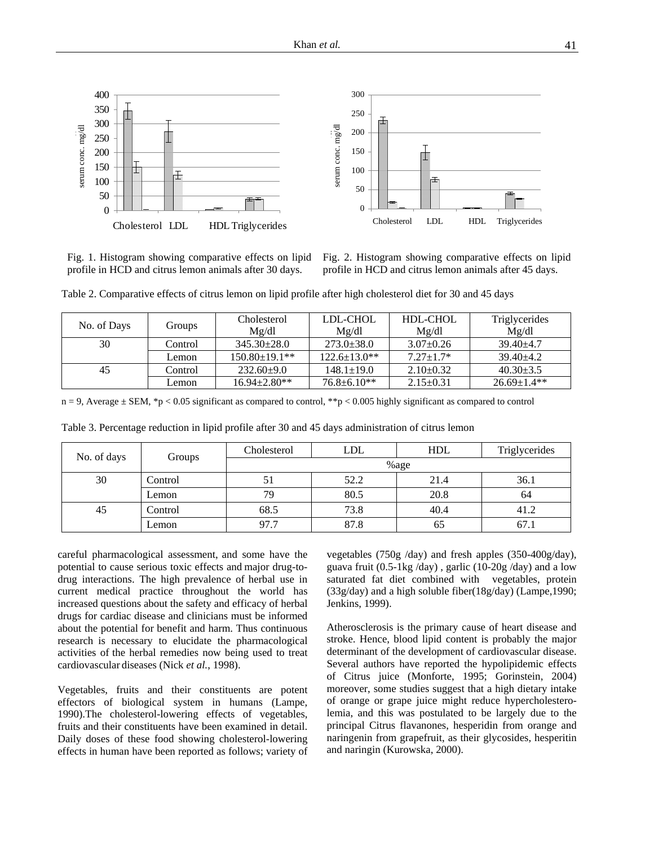

Fig. 1. Histogram showing comparative effects on lipid profile in HCD and citrus lemon animals after 30 days.

Fig. 2. Histogram showing comparative effects on lipid profile in HCD and citrus lemon animals after 45 days.

| Table 2. Comparative effects of citrus lemon on lipid profile after high cholesterol diet for 30 and 45 days |  |  |
|--------------------------------------------------------------------------------------------------------------|--|--|
|--------------------------------------------------------------------------------------------------------------|--|--|

| No. of Days | Groups  | Cholesterol<br>Mg/dl | LDL-CHOL<br>Mg/dl | HDL-CHOL<br>Mg/dl | Triglycerides<br>Mg/dl |
|-------------|---------|----------------------|-------------------|-------------------|------------------------|
| 30          | Control | $345.30 \pm 28.0$    | $273.0 \pm 38.0$  | $3.07 \pm 0.26$   | $39.40 + 4.7$          |
|             | Lemon   | $150.80 \pm 19.1$ ** | $122.6 + 13.0**$  | $7.27 + 1.7*$     | $39.40 + 4.2$          |
| 45          | Control | $232.60+9.0$         | $148.1 \pm 19.0$  | $2.10+0.32$       | $40.30 \pm 3.5$        |
|             | Lemon   | $16.94 \pm 2.80**$   | $76.8 \pm 6.10**$ | $2.15 \pm 0.31$   | $26.69 \pm 1.4**$      |

 $n = 9$ , Average  $\pm$  SEM, \*p < 0.05 significant as compared to control, \*\*p < 0.005 highly significant as compared to control

| No. of days |         | Cholesterol | <b>LDL</b> | <b>HDL</b> | Triglycerides |
|-------------|---------|-------------|------------|------------|---------------|
|             | Groups  | %age        |            |            |               |
| 30          | Control | 51          | 52.2       | 21.4       | 36.1          |
|             | Lemon   | 79          | 80.5       | 20.8       | 64            |
| 45          | Control | 68.5        | 73.8       | 40.4       | 41.2          |
|             | Lemon   | 97.7        | 87.8       | 65         | 67.1          |

Table 3. Percentage reduction in lipid profile after 30 and 45 days administration of citrus lemon

careful pharmacological assessment, and some have the potential to cause serious toxic effects and major drug-todrug interactions. The high prevalence of herbal use in current medical practice throughout the world has increased questions about the safety and efficacy of herbal drugs for cardiac disease and clinicians must be informed about the potential for benefit and harm. Thus continuous research is necessary to elucidate the pharmacological activities of the herbal remedies now being used to treat cardiovascular diseases (Nick *et al.*, 1998).

Vegetables, fruits and their constituents are potent effectors of biological system in humans (Lampe, 1990).The cholesterol-lowering effects of vegetables, fruits and their constituents have been examined in detail. Daily doses of these food showing cholesterol-lowering effects in human have been reported as follows; variety of

vegetables (750g /day) and fresh apples (350-400g/day), guava fruit  $(0.5-1\text{kg}/\text{day})$ , garlic  $(10-20\text{g}/\text{day})$  and a low saturated fat diet combined with vegetables, protein (33g/day) and a high soluble fiber(18g/day) (Lampe,1990; Jenkins, 1999).

Atherosclerosis is the primary cause of heart disease and stroke. Hence, blood lipid content is probably the major determinant of the development of cardiovascular disease. Several authors have reported the hypolipidemic effects of Citrus juice (Monforte, 1995; Gorinstein, 2004) moreover, some studies suggest that a high dietary intake of orange or grape juice might reduce hypercholesterolemia, and this was postulated to be largely due to the principal Citrus flavanones, hesperidin from orange and naringenin from grapefruit, as their glycosides, hesperitin and naringin (Kurowska, 2000).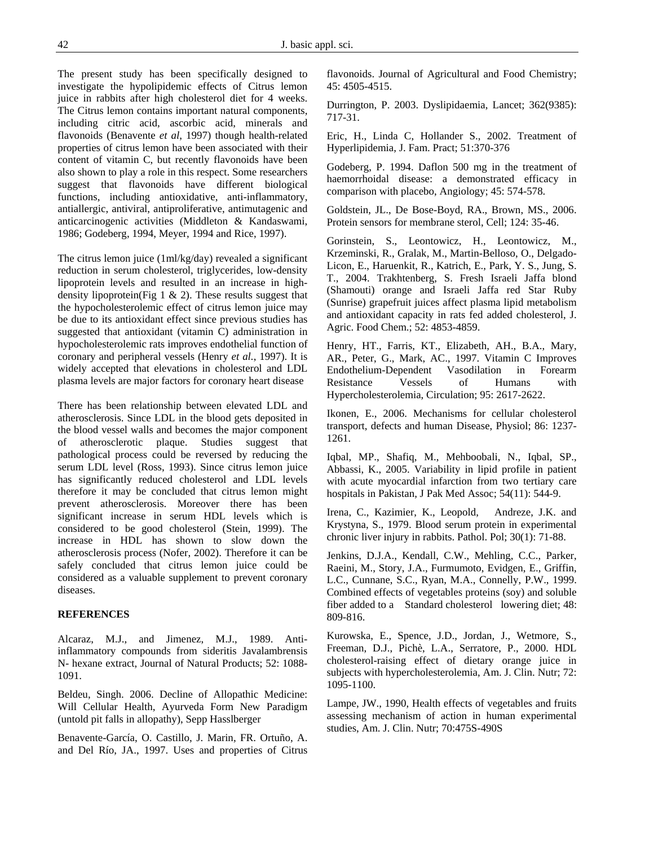The present study has been specifically designed to investigate the hypolipidemic effects of Citrus lemon juice in rabbits after high cholesterol diet for 4 weeks. The Citrus lemon contains important natural components, including citric acid, ascorbic acid, minerals and flavonoids (Benavente *et al*, 1997) though health-related properties of citrus lemon have been associated with their content of vitamin C, but recently flavonoids have been also shown to play a role in this respect. Some researchers suggest that flavonoids have different biological functions, including antioxidative, anti-inflammatory, antiallergic, antiviral, antiproliferative, antimutagenic and anticarcinogenic activities (Middleton & Kandaswami, 1986; Godeberg, 1994, Meyer, 1994 and Rice, 1997).

The citrus lemon juice (1ml/kg/day) revealed a significant reduction in serum cholesterol, triglycerides, low-density lipoprotein levels and resulted in an increase in highdensity lipoprotein(Fig 1 & 2). These results suggest that the hypocholesterolemic effect of citrus lemon juice may be due to its antioxidant effect since previous studies has suggested that antioxidant (vitamin C) administration in hypocholesterolemic rats improves endothelial function of coronary and peripheral vessels (Henry *et al.*, 1997). It is widely accepted that elevations in cholesterol and LDL plasma levels are major factors for coronary heart disease

There has been relationship between elevated LDL and atherosclerosis. Since LDL in the blood gets deposited in the blood vessel walls and becomes the major component of atherosclerotic plaque. Studies suggest that pathological process could be reversed by reducing the serum LDL level (Ross, 1993). Since citrus lemon juice has significantly reduced cholesterol and LDL levels therefore it may be concluded that citrus lemon might prevent atherosclerosis. Moreover there has been significant increase in serum HDL levels which is considered to be good cholesterol (Stein, 1999). The increase in HDL has shown to slow down the atherosclerosis process (Nofer, 2002). Therefore it can be safely concluded that citrus lemon juice could be considered as a valuable supplement to prevent coronary diseases.

#### **REFERENCES**

Alcaraz, M.J., and Jimenez, M.J., 1989. Antiinflammatory compounds from sideritis Javalambrensis N- hexane extract, Journal of Natural Products; 52: 1088- 1091.

Beldeu, Singh. 2006. Decline of Allopathic Medicine: Will Cellular Health, Ayurveda Form New Paradigm (untold pit falls in allopathy), Sepp Hasslberger

Benavente-García, O. Castillo, J. Marin, FR. Ortuño, A. and Del Río, JA., 1997. Uses and properties of Citrus flavonoids. Journal of Agricultural and Food Chemistry; 45: 4505-4515.

Durrington, P. 2003. Dyslipidaemia, Lancet; 362(9385): 717-31.

Eric, H., Linda C, Hollander S., 2002. Treatment of Hyperlipidemia, J. Fam. Pract; 51:370-376

Godeberg, P. 1994. Daflon 500 mg in the treatment of haemorrhoidal disease: a demonstrated efficacy in comparison with placebo, Angiology; 45: 574-578.

Goldstein, JL., De Bose-Boyd, RA., Brown, MS., 2006. Protein sensors for membrane sterol, Cell; 124: 35-46.

Gorinstein, S., Leontowicz, H., Leontowicz, M., Krzeminski, R., Gralak, M., Martin-Belloso, O., Delgado-Licon, E., Haruenkit, R., Katrich, E., Park, Y. S., Jung, S. T., 2004. Trakhtenberg, S. Fresh Israeli Jaffa blond (Shamouti) orange and Israeli Jaffa red Star Ruby (Sunrise) grapefruit juices affect plasma lipid metabolism and antioxidant capacity in rats fed added cholesterol, J. Agric. Food Chem.; 52: 4853-4859.

Henry, HT., Farris, KT., Elizabeth, AH., B.A., Mary, AR., Peter, G., Mark, AC., 1997. Vitamin C Improves Endothelium-Dependent Vasodilation in Forearm Resistance Vessels of Humans with Hypercholesterolemia, Circulation; 95: 2617-2622.

Ikonen, E., 2006. Mechanisms for cellular cholesterol transport, defects and human Disease, Physiol; 86: 1237- 1261.

Iqbal, MP., Shafiq, M., Mehboobali, N., Iqbal, SP., Abbassi, K., 2005. Variability in lipid profile in patient with acute myocardial infarction from two tertiary care hospitals in Pakistan, J Pak Med Assoc; 54(11): 544-9.

Irena, C., Kazimier, K., Leopold, Andreze, J.K. and Krystyna, S., 1979. Blood serum protein in experimental chronic liver injury in rabbits. Pathol. Pol; 30(1): 71-88.

Jenkins, D.J.A., Kendall, C.W., Mehling, C.C., Parker, Raeini, M., Story, J.A., Furmumoto, Evidgen, E., Griffin, L.C., Cunnane, S.C., Ryan, M.A., Connelly, P.W., 1999. Combined effects of vegetables proteins (soy) and soluble fiber added to a Standard cholesterol lowering diet; 48: 809-816.

Kurowska, E., Spence, J.D., Jordan, J., Wetmore, S., Freeman, D.J., Pichè, L.A., Serratore, P., 2000. HDL cholesterol-raising effect of dietary orange juice in subjects with hypercholesterolemia, Am. J. Clin. Nutr; 72: 1095-1100.

Lampe, JW., 1990, Health effects of vegetables and fruits assessing mechanism of action in human experimental studies, Am. J. Clin. Nutr; 70:475S-490S